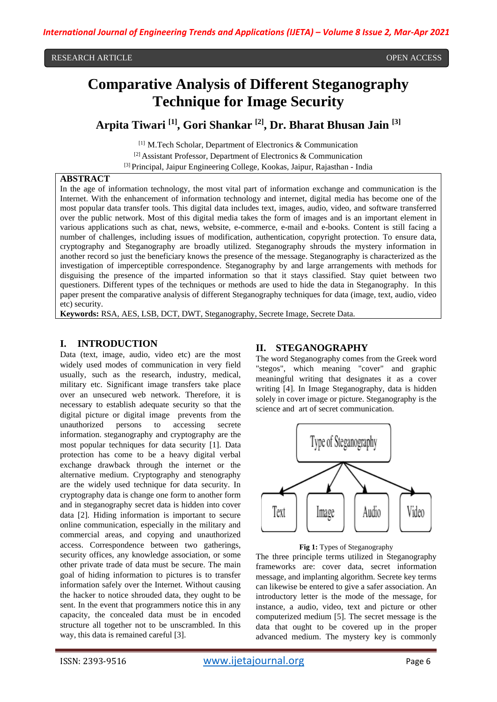# **Comparative Analysis of Different Steganography Technique for Image Security**

**Arpita Tiwari [1] , Gori Shankar [2] , Dr. Bharat Bhusan Jain [3]**

[1] M.Tech Scholar, Department of Electronics & Communication [2] Assistant Professor, Department of Electronics & Communication [3] Principal, Jaipur Engineering College, Kookas, Jaipur, Rajasthan - India

## **ABSTRACT**

In the age of information technology, the most vital part of information exchange and communication is the Internet. With the enhancement of information technology and internet, digital media has become one of the most popular data transfer tools. This digital data includes text, images, audio, video, and software transferred over the public network. Most of this digital media takes the form of images and is an important element in various applications such as chat, news, website, e-commerce, e-mail and e-books. Content is still facing a number of challenges, including issues of modification, authentication, copyright protection. To ensure data, cryptography and Steganography are broadly utilized. Steganography shrouds the mystery information in another record so just the beneficiary knows the presence of the message. Steganography is characterized as the investigation of imperceptible correspondence. Steganography by and large arrangements with methods for disguising the presence of the imparted information so that it stays classified. Stay quiet between two questioners. Different types of the techniques or methods are used to hide the data in Steganography. In this paper present the comparative analysis of different Steganography techniques for data (image, text, audio, video etc) security.

**Keywords:** RSA, AES, LSB, DCT, DWT, Steganography, Secrete Image, Secrete Data.

### **I. INTRODUCTION**

Data (text, image, audio, video etc) are the most widely used modes of communication in very field usually, such as the research, industry, medical, military etc. Significant image transfers take place over an unsecured web network. Therefore, it is necessary to establish adequate security so that the digital picture or digital image prevents from the unauthorized persons to accessing secrete information. steganography and cryptography are the most popular techniques for data security [1]. Data protection has come to be a heavy digital verbal exchange drawback through the internet or the alternative medium. Cryptography and stenography are the widely used technique for data security. In cryptography data is change one form to another form and in steganography secret data is hidden into cover data [2]. Hiding information is important to secure online communication, especially in the military and commercial areas, and copying and unauthorized access. Correspondence between two gatherings, security offices, any knowledge association, or some other private trade of data must be secure. The main goal of hiding information to pictures is to transfer information safely over the Internet. Without causing the hacker to notice shrouded data, they ought to be sent. In the event that programmers notice this in any capacity, the concealed data must be in encoded structure all together not to be unscrambled. In this way, this data is remained careful [3].

#### **II. STEGANOGRAPHY**

The word Steganography comes from the Greek word "stegos", which meaning "cover" and graphic meaningful writing that designates it as a cover writing [4]. In Image Steganography, data is hidden solely in cover image or picture. Steganography is the science and art of secret communication.



**Fig 1:** Types of Steganography

The three principle terms utilized in Steganography frameworks are: cover data, secret information message, and implanting algorithm. Secrete key terms can likewise be entered to give a safer association. An introductory letter is the mode of the message, for instance, a audio, video, text and picture or other computerized medium [5]. The secret message is the data that ought to be covered up in the proper advanced medium. The mystery key is commonly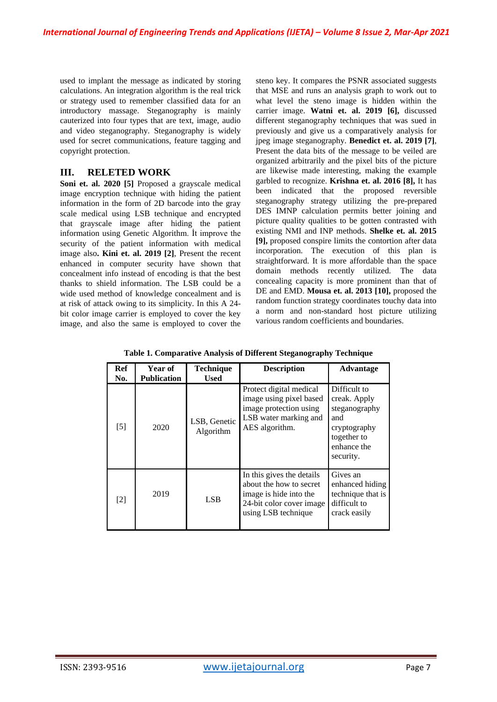used to implant the message as indicated by storing calculations. An integration algorithm is the real trick or strategy used to remember classified data for an introductory massage. Steganography is mainly cauterized into four types that are text, image, audio and video steganography. Steganography is widely used for secret communications, feature tagging and copyright protection.

## **III. RELETED WORK**

**Soni et. al. 2020 [5]** Proposed a grayscale medical image encryption technique with hiding the patient information in the form of 2D barcode into the gray scale medical using LSB technique and encrypted that grayscale image after hiding the patient information using Genetic Algorithm. İt improve the security of the patient information with medical image also**. Kini et. al. 2019 [2]**, Present the recent enhanced in computer security have shown that concealment info instead of encoding is that the best thanks to shield information. The LSB could be a wide used method of knowledge concealment and is at risk of attack owing to its simplicity. In this A 24 bit color image carrier is employed to cover the key image, and also the same is employed to cover the

steno key. It compares the PSNR associated suggests that MSE and runs an analysis graph to work out to what level the steno image is hidden within the carrier image. **Watni et. al. 2019 [6],** discussed different steganography techniques that was sued in previously and give us a comparatively analysis for jpeg image steganography. **Benedict et. al. 2019 [7]**, Present the data bits of the message to be veiled are organized arbitrarily and the pixel bits of the picture are likewise made interesting, making the example garbled to recognize. **Krishna et. al. 2016 [8],** It has been indicated that the proposed reversible steganography strategy utilizing the pre-prepared DES IMNP calculation permits better joining and picture quality qualities to be gotten contrasted with existing NMI and INP methods. **Shelke et. al. 2015 [9],** proposed conspire limits the contortion after data incorporation. The execution of this plan is straightforward. It is more affordable than the space domain methods recently utilized. The data concealing capacity is more prominent than that of DE and EMD. **Mousa et. al. 2013 [10],** proposed the random function strategy coordinates touchy data into a norm and non-standard host picture utilizing various random coefficients and boundaries.

| <b>Ref</b><br>No. | <b>Year of</b><br><b>Publication</b> | <b>Technique</b><br><b>Used</b> | <b>Description</b>                                                                                                                | <b>Advantage</b>                                                                                                |
|-------------------|--------------------------------------|---------------------------------|-----------------------------------------------------------------------------------------------------------------------------------|-----------------------------------------------------------------------------------------------------------------|
| $[5]$             | 2020                                 | LSB, Genetic<br>Algorithm       | Protect digital medical<br>image using pixel based<br>image protection using<br>LSB water marking and<br>AES algorithm.           | Difficult to<br>creak. Apply<br>steganography<br>and<br>cryptography<br>together to<br>enhance the<br>security. |
| $[2]$             | 2019                                 | <b>LSB</b>                      | In this gives the details<br>about the how to secret<br>image is hide into the<br>24-bit color cover image<br>using LSB technique | Gives an<br>enhanced hiding<br>technique that is<br>difficult to<br>crack easily                                |

**Table 1. Comparative Analysis of Different Steganography Technique**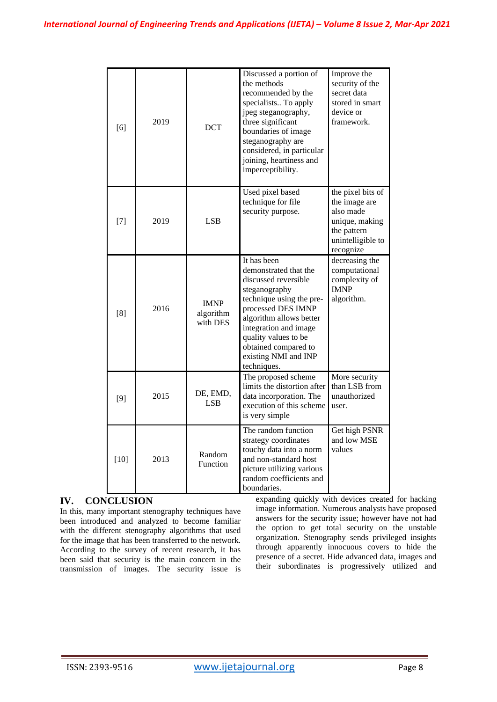| [6]    | 2019 | <b>DCT</b>                           | Discussed a portion of<br>the methods<br>recommended by the<br>specialists To apply<br>jpeg steganography,<br>three significant<br>boundaries of image<br>steganography are<br>considered, in particular<br>joining, heartiness and<br>imperceptibility.                   | Improve the<br>security of the<br>secret data<br>stored in smart<br>device or<br>framework.                        |
|--------|------|--------------------------------------|----------------------------------------------------------------------------------------------------------------------------------------------------------------------------------------------------------------------------------------------------------------------------|--------------------------------------------------------------------------------------------------------------------|
| $[7]$  | 2019 | <b>LSB</b>                           | Used pixel based<br>technique for file<br>security purpose.                                                                                                                                                                                                                | the pixel bits of<br>the image are<br>also made<br>unique, making<br>the pattern<br>unintelligible to<br>recognize |
| [8]    | 2016 | <b>IMNP</b><br>algorithm<br>with DES | It has been<br>demonstrated that the<br>discussed reversible<br>steganography<br>technique using the pre-<br>processed DES IMNP<br>algorithm allows better<br>integration and image<br>quality values to be<br>obtained compared to<br>existing NMI and INP<br>techniques. | decreasing the<br>computational<br>complexity of<br><b>IMNP</b><br>algorithm.                                      |
| [9]    | 2015 | DE, EMD,<br><b>LSB</b>               | The proposed scheme<br>limits the distortion after<br>data incorporation. The<br>execution of this scheme<br>is very simple                                                                                                                                                | More security<br>than LSB from<br>unauthorized<br>user.                                                            |
| $[10]$ | 2013 | Random<br><b>Function</b>            | The random function<br>strategy coordinates<br>touchy data into a norm<br>and non-standard host<br>picture utilizing various<br>random coefficients and<br>boundaries.                                                                                                     | Get high PSNR<br>and low MSE<br>values                                                                             |

# **IV. CONCLUSION**

In this, many important stenography techniques have been introduced and analyzed to become familiar with the different stenography algorithms that used for the image that has been transferred to the network. According to the survey of recent research, it has been said that security is the main concern in the transmission of images. The security issue is

expanding quickly with devices created for hacking image information. Numerous analysts have proposed answers for the security issue; however have not had the option to get total security on the unstable organization. Stenography sends privileged insights through apparently innocuous covers to hide the presence of a secret. Hide advanced data, images and their subordinates is progressively utilized and